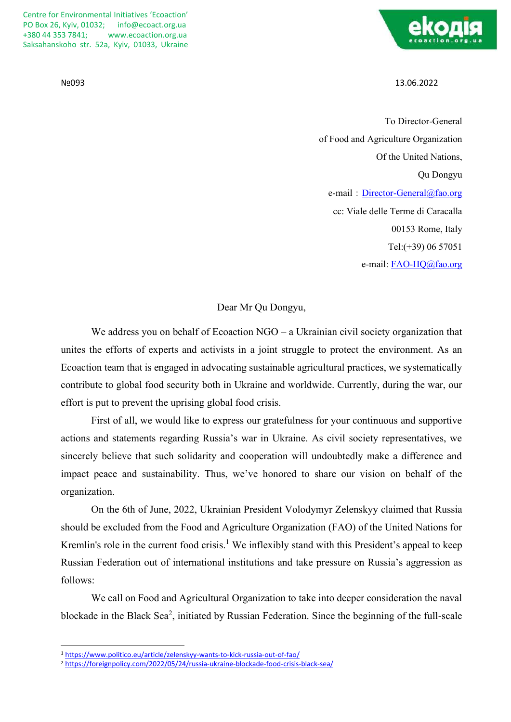Centre for Environmental Initiatives 'Ecoaction' PO Box 26, Kyiv, 01032; [info@ecoact.org.ua](mailto:info@ecoact.org.ua) +380 [44 353 7841;](tel:+380%2044%20353%207841) www.ecoaction.org.ua Saksahanskoho str. 52a, Kyiv, 01033, Ukraine



№093 13.06.2022

To Director-General of Food and Agriculture Organization Of the United Nations, Qu Dongyu e-mail: [Director-General@fao.org](mailto:Director-General@fao.org) сс: Viale delle Terme di Caracalla 00153 Rome, Italy Tel:(+39) 06 57051 e-mail: [FAO-HQ@fao.org](mailto:FAO-HQ@fao.org)

Dear Mr Qu Dongyu,

We address you on behalf of Ecoaction NGO – a Ukrainian civil society organization that unites the efforts of experts and activists in a joint struggle to protect the environment. As an Ecoaction team that is engaged in advocating sustainable agricultural practices, we systematically contribute to global food security both in Ukraine and worldwide. Currently, during the war, our effort is put to prevent the uprising global food crisis.

First of all, we would like to express our gratefulness for your continuous and supportive actions and statements regarding Russia's war in Ukraine. As civil society representatives, we sincerely believe that such solidarity and cooperation will undoubtedly make a difference and impact peace and sustainability. Thus, we've honored to share our vision on behalf of the organization.

On the 6th of June, 2022, Ukrainian President Volodymyr Zelenskyy claimed that Russia should be excluded from the Food and Agriculture Organization (FAO) of the United Nations for Kremlin's role in the current food crisis.<sup>1</sup> We inflexibly stand with this President's appeal to keep Russian Federation out of international institutions and take pressure on Russia's aggression as follows:

We call on Food and Agricultural Organization to take into deeper consideration the naval blockade in the Black Sea<sup>2</sup>, initiated by Russian Federation. Since the beginning of the full-scale

<sup>1</sup> <https://www.politico.eu/article/zelenskyy-wants-to-kick-russia-out-of-fao/>

<sup>2</sup> <https://foreignpolicy.com/2022/05/24/russia-ukraine-blockade-food-crisis-black-sea/>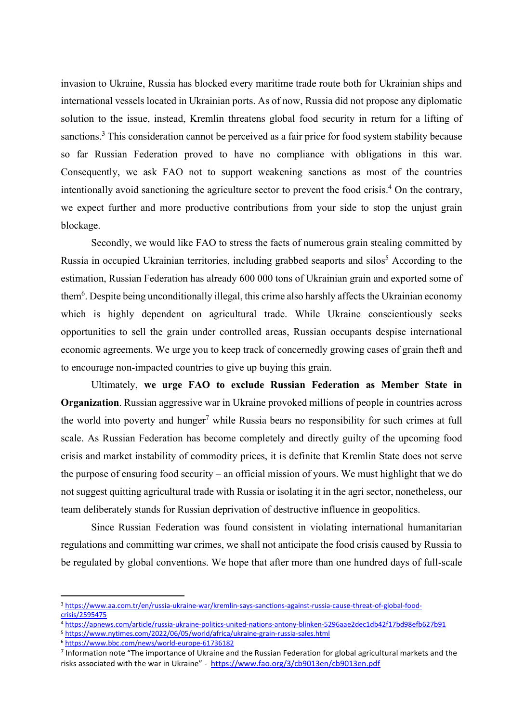invasion to Ukraine, Russia has blocked every maritime trade route both for Ukrainian ships and international vessels located in Ukrainian ports. As of now, Russia did not propose any diplomatic solution to the issue, instead, Kremlin threatens global food security in return for a lifting of sanctions.<sup>3</sup> This consideration cannot be perceived as a fair price for food system stability because so far Russian Federation proved to have no compliance with obligations in this war. Consequently, we ask FAO not to support weakening sanctions as most of the countries intentionally avoid sanctioning the agriculture sector to prevent the food crisis. <sup>4</sup> On the contrary, we expect further and more productive contributions from your side to stop the unjust grain blockage.

Secondly, we would like FAO to stress the facts of numerous grain stealing committed by Russia in occupied Ukrainian territories, including grabbed seaports and silos<sup>5</sup> According to the estimation, Russian Federation has already 600 000 tons of Ukrainian grain and exported some of them<sup>6</sup>. Despite being unconditionally illegal, this crime also harshly affects the Ukrainian economy which is highly dependent on agricultural trade. While Ukraine conscientiously seeks opportunities to sell the grain under controlled areas, Russian occupants despise international economic agreements. We urge you to keep track of concernedly growing cases of grain theft and to encourage non-impacted countries to give up buying this grain.

Ultimately, **we urge FAO to exclude Russian Federation as Member State in Organization**. Russian aggressive war in Ukraine provoked millions of people in countries across the world into poverty and hunger<sup>7</sup> while Russia bears no responsibility for such crimes at full scale. As Russian Federation has become completely and directly guilty of the upcoming food crisis and market instability of commodity prices, it is definite that Kremlin State does not serve the purpose of ensuring food security – an official mission of yours. We must highlight that we do not suggest quitting agricultural trade with Russia or isolating it in the agri sector, nonetheless, our team deliberately stands for Russian deprivation of destructive influence in geopolitics.

Since Russian Federation was found consistent in violating international humanitarian regulations and committing war crimes, we shall not anticipate the food crisis caused by Russia to be regulated by global conventions. We hope that after more than one hundred days of full-scale

<sup>6</sup> <https://www.bbc.com/news/world-europe-61736182>

<sup>3</sup> [https://www.aa.com.tr/en/russia-ukraine-war/kremlin-says-sanctions-against-russia-cause-threat-of-global-food](https://www.aa.com.tr/en/russia-ukraine-war/kremlin-says-sanctions-against-russia-cause-threat-of-global-food-crisis/2595475)[crisis/2595475](https://www.aa.com.tr/en/russia-ukraine-war/kremlin-says-sanctions-against-russia-cause-threat-of-global-food-crisis/2595475)

<sup>4</sup> <https://apnews.com/article/russia-ukraine-politics-united-nations-antony-blinken-5296aae2dec1db42f17bd98efb627b91>

<sup>5</sup> <https://www.nytimes.com/2022/06/05/world/africa/ukraine-grain-russia-sales.html>

<sup>&</sup>lt;sup>7</sup> Information note "The importance of Ukraine and the Russian Federation for global agricultural markets and the risks associated with the war in Ukraine" - <https://www.fao.org/3/cb9013en/cb9013en.pdf>